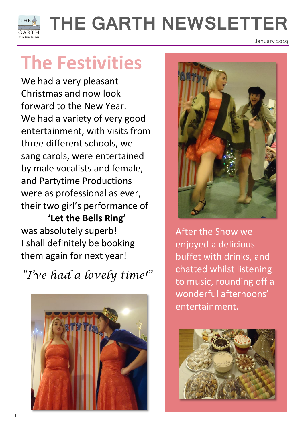

# **THE GARTH NEWSLETTER**

## **The Festivities**

We had a very pleasant Christmas and now look forward to the New Year. We had a variety of very good entertainment, with visits from three different schools, we sang carols, were entertained by male vocalists and female, and Partytime Productions were as professional as ever, their two girl's performance of

**'Let the Bells Ring'** was absolutely superb! I shall definitely be booking them again for next year!

*"I've had a lovely time!"*





January 2019

After the Show we enjoyed a delicious buffet with drinks, and chatted whilst listening to music, rounding off a wonderful afternoons' entertainment.

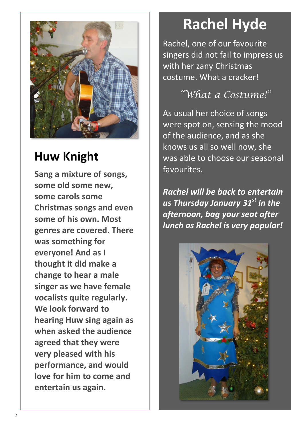

#### **Huw Knight**

**Sang a mixture of songs, some old some new, some carols some Christmas songs and even some of his own. Most genres are covered. There was something for everyone! And as I thought it did make a change to hear a male singer as we have female vocalists quite regularly. We look forward to hearing Huw sing again as when asked the audience agreed that they were very pleased with his performance, and would love for him to come and entertain us again.**

### **Rachel Hyde**

Rachel, one of our favourite singers did not fail to impress us with her zany Christmas costume. What a cracker!

#### *"What a Costume!"*

As usual her choice of songs were spot on, sensing the mood of the audience, and as she knows us all so well now, she was able to choose our seasonal favourites.

*Rachel will be back to entertain us Thursday January 31st in the afternoon, bag your seat after lunch as Rachel is very popular!*

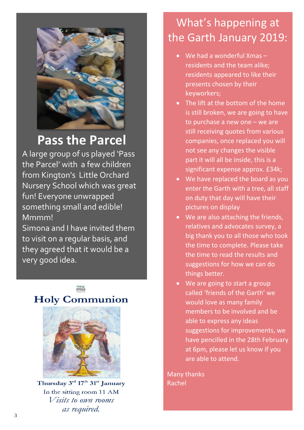

#### **Pass the Parcel**

A large group of us played 'Pass the Parcel' with a few children from Kington's Little Orchard Nursery School which was great fun! Everyone unwrapped something small and edible! Mmmm!

Simona and I have invited them to visit on a regular basis, and they agreed that it would be a very good idea.

#### **Holy Communion**



Thursday 3rd 17th 31st January In the sitting room 11 AM *Visits to own rooms* as required.

#### What's happening at the Garth January 2019:

- We had a wonderful Xmas residents and the team alike; residents appeared to like their presents chosen by their keyworkers;
- The lift at the bottom of the home is still broken, we are going to have to purchase a new one – we are still receiving quotes from various companies, once replaced you will not see any changes the visible part it will all be inside, this is a significant expense approx. £34k;
- We have replaced the board as you enter the Garth with a tree, all staff on duty that day will have their pictures on display
- We are also attaching the friends, relatives and advocates survey, a big thank you to all those who took the time to complete. Please take the time to read the results and suggestions for how we can do things better.
- We are going to start a group called 'friends of the Garth' we would love as many family members to be involved and be able to express any ideas suggestions for improvements, we have pencilled in the 28th February at 6pm, please let us know if you are able to attend.

Many thanks Rachel